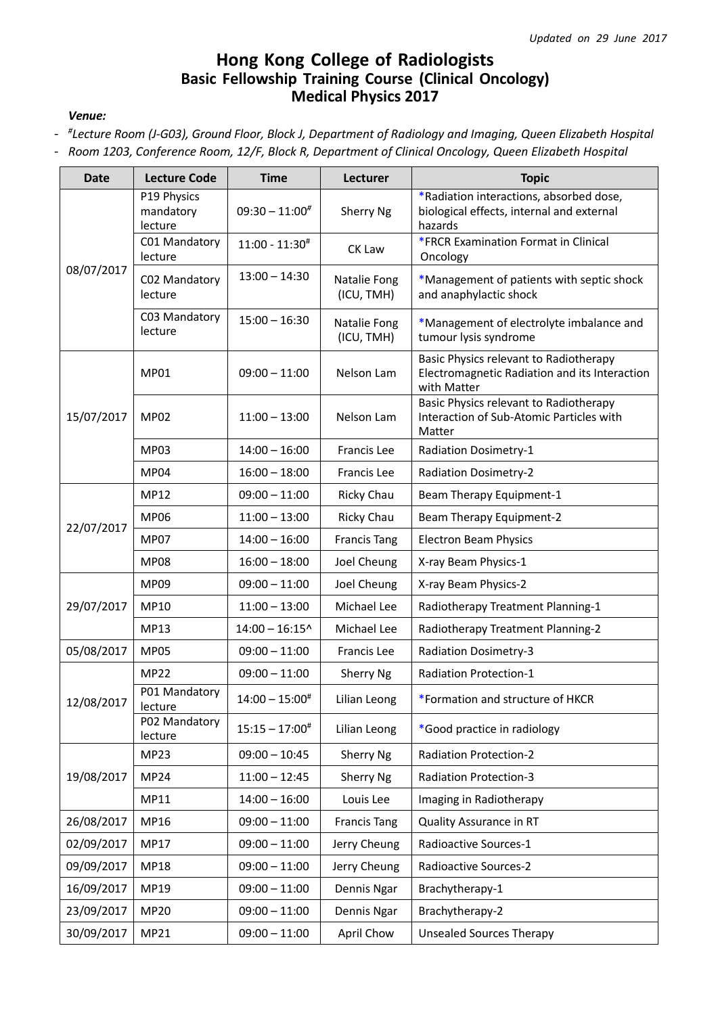## **Hong Kong College of Radiologists Basic Fellowship Training Course (Clinical Oncology) Medical Physics 2017**

## *Venue:*

- *# Lecture Room (J-G03), Ground Floor, Block J, Department of Radiology and Imaging, Queen Elizabeth Hospital*

- *Room 1203, Conference Room, 12/F, Block R, Department of Clinical Oncology, Queen Elizabeth Hospital*

| <b>Date</b> | <b>Lecture Code</b>                 | <b>Time</b>             | Lecturer                   | <b>Topic</b>                                                                                           |
|-------------|-------------------------------------|-------------------------|----------------------------|--------------------------------------------------------------------------------------------------------|
| 08/07/2017  | P19 Physics<br>mandatory<br>lecture | $09:30 - 11:00^4$       | Sherry Ng                  | *Radiation interactions, absorbed dose,<br>biological effects, internal and external<br>hazards        |
|             | C01 Mandatory<br>lecture            | $11:00 - 11:30^{\#}$    | CK Law                     | *FRCR Examination Format in Clinical<br>Oncology                                                       |
|             | C02 Mandatory<br>lecture            | $13:00 - 14:30$         | Natalie Fong<br>(ICU, TMH) | *Management of patients with septic shock<br>and anaphylactic shock                                    |
|             | C03 Mandatory<br>lecture            | $15:00 - 16:30$         | Natalie Fong<br>(ICU, TMH) | *Management of electrolyte imbalance and<br>tumour lysis syndrome                                      |
| 15/07/2017  | <b>MP01</b>                         | $09:00 - 11:00$         | Nelson Lam                 | Basic Physics relevant to Radiotherapy<br>Electromagnetic Radiation and its Interaction<br>with Matter |
|             | MP02                                | $11:00 - 13:00$         | Nelson Lam                 | Basic Physics relevant to Radiotherapy<br>Interaction of Sub-Atomic Particles with<br>Matter           |
|             | MP03                                | $14:00 - 16:00$         | <b>Francis Lee</b>         | <b>Radiation Dosimetry-1</b>                                                                           |
|             | MP04                                | $16:00 - 18:00$         | Francis Lee                | <b>Radiation Dosimetry-2</b>                                                                           |
|             | MP12                                | $09:00 - 11:00$         | <b>Ricky Chau</b>          | Beam Therapy Equipment-1                                                                               |
|             | MP06                                | $11:00 - 13:00$         | Ricky Chau                 | <b>Beam Therapy Equipment-2</b>                                                                        |
| 22/07/2017  | MP07                                | $14:00 - 16:00$         | <b>Francis Tang</b>        | <b>Electron Beam Physics</b>                                                                           |
|             | MP08                                | $16:00 - 18:00$         | Joel Cheung                | X-ray Beam Physics-1                                                                                   |
| 29/07/2017  | <b>MP09</b>                         | $09:00 - 11:00$         | Joel Cheung                | X-ray Beam Physics-2                                                                                   |
|             | MP10                                | $11:00 - 13:00$         | Michael Lee                | Radiotherapy Treatment Planning-1                                                                      |
|             | MP13                                | $14:00 - 16:15^{\circ}$ | Michael Lee                | Radiotherapy Treatment Planning-2                                                                      |
| 05/08/2017  | <b>MP05</b>                         | $09:00 - 11:00$         | <b>Francis Lee</b>         | <b>Radiation Dosimetry-3</b>                                                                           |
| 12/08/2017  | <b>MP22</b>                         | $09:00 - 11:00$         | Sherry Ng                  | <b>Radiation Protection-1</b>                                                                          |
|             | P01 Mandatory<br>iecture            | $14:00 - 15:00^{\#}$    | Lilian Leong               | *Formation and structure of HKCR                                                                       |
|             | P02 Mandatory<br>lecture            | $15:15 - 17:00^{\#}$    | Lilian Leong               | *Good practice in radiology                                                                            |
| 19/08/2017  | <b>MP23</b>                         | $09:00 - 10:45$         | Sherry Ng                  | <b>Radiation Protection-2</b>                                                                          |
|             | <b>MP24</b>                         | $11:00 - 12:45$         | Sherry Ng                  | <b>Radiation Protection-3</b>                                                                          |
|             | MP11                                | $14:00 - 16:00$         | Louis Lee                  | Imaging in Radiotherapy                                                                                |
| 26/08/2017  | MP16                                | $09:00 - 11:00$         | <b>Francis Tang</b>        | <b>Quality Assurance in RT</b>                                                                         |
| 02/09/2017  | <b>MP17</b>                         | $09:00 - 11:00$         | Jerry Cheung               | Radioactive Sources-1                                                                                  |
| 09/09/2017  | <b>MP18</b>                         | $09:00 - 11:00$         | Jerry Cheung               | Radioactive Sources-2                                                                                  |
| 16/09/2017  | MP19                                | $09:00 - 11:00$         | Dennis Ngar                | Brachytherapy-1                                                                                        |
| 23/09/2017  | <b>MP20</b>                         | $09:00 - 11:00$         | Dennis Ngar                | Brachytherapy-2                                                                                        |
| 30/09/2017  | MP21                                | $09:00 - 11:00$         | April Chow                 | <b>Unsealed Sources Therapy</b>                                                                        |